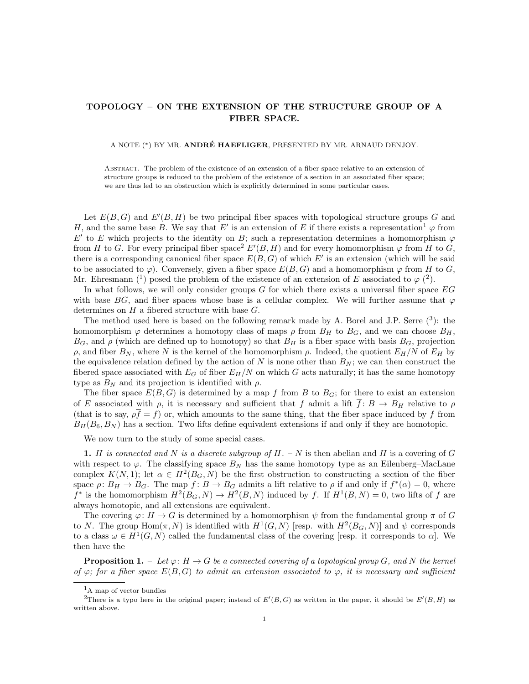## TOPOLOGY – ON THE EXTENSION OF THE STRUCTURE GROUP OF A FIBER SPACE.

## A NOTE (\*) BY MR. ANDRÉ HAEFLIGER, PRESENTED BY MR. ARNAUD DENJOY.

Abstract. The problem of the existence of an extension of a fiber space relative to an extension of structure groups is reduced to the problem of the existence of a section in an associated fiber space; we are thus led to an obstruction which is explicitly determined in some particular cases.

Let  $E(B, G)$  and  $E'(B, H)$  be two principal fiber spaces with topological structure groups G and H, and the same base B. We say that E' is an extension of E if there exists a representation<sup>1</sup>  $\varphi$  from E' to E which projects to the identity on B; such a representation determines a homomorphism  $\varphi$ from H to G. For every principal fiber space<sup>2</sup>  $E'(B, H)$  and for every homomorphism  $\varphi$  from H to G, there is a corresponding canonical fiber space  $E(B, G)$  of which  $E'$  is an extension (which will be said to be associated to  $\varphi$ ). Conversely, given a fiber space  $E(B, G)$  and a homomorphism  $\varphi$  from H to G, Mr. Ehresmann (<sup>1</sup>) posed the problem of the existence of an extension of E associated to  $\varphi$  (<sup>2</sup>).

In what follows, we will only consider groups  $G$  for which there exists a universal fiber space  $EG$ with base BG, and fiber spaces whose base is a cellular complex. We will further assume that  $\varphi$ determines on  $H$  a fibered structure with base  $G$ .

The method used here is based on the following remark made by A. Borel and J.P. Serre  $(3)$ : the homomorphism  $\varphi$  determines a homotopy class of maps  $\rho$  from  $B_H$  to  $B_G$ , and we can choose  $B_H$ ,  $B_G$ , and  $\rho$  (which are defined up to homotopy) so that  $B_H$  is a fiber space with basis  $B_G$ , projection ρ, and fiber  $B_N$ , where N is the kernel of the homomorphism ρ. Indeed, the quotient  $E_H/N$  of  $E_H$  by the equivalence relation defined by the action of N is none other than  $B_N$ ; we can then construct the fibered space associated with  $E_G$  of fiber  $E_H/N$  on which G acts naturally; it has the same homotopy type as  $B_N$  and its projection is identified with  $\rho$ .

The fiber space  $E(B, G)$  is determined by a map f from B to  $B_G$ ; for there to exist an extension of E associated with  $\rho$ , it is necessary and sufficient that f admit a lift  $\overline{f} : B \to B_H$  relative to  $\rho$ (that is to say,  $\rho \overline{f} = f$ ) or, which amounts to the same thing, that the fiber space induced by f from  $B_H(B_6, B_N)$  has a section. Two lifts define equivalent extensions if and only if they are homotopic.

We now turn to the study of some special cases.

1. H is connected and N is a discrete subgroup of  $H. - N$  is then abelian and H is a covering of G with respect to  $\varphi$ . The classifying space  $B_N$  has the same homotopy type as an Eilenberg–MacLane complex  $K(N,1)$ ; let  $\alpha \in H^2(B_G, N)$  be the first obstruction to constructing a section of the fiber space  $\rho: B_H \to B_G$ . The map  $f: B \to B_G$  admits a lift relative to  $\rho$  if and only if  $f^*(\alpha) = 0$ , where  $f^*$  is the homomorphism  $H^2(B_G, N) \to H^2(B, N)$  induced by f. If  $H^1(B, N) = 0$ , two lifts of f are always homotopic, and all extensions are equivalent.

The covering  $\varphi: H \to G$  is determined by a homomorphism  $\psi$  from the fundamental group  $\pi$  of G to N. The group  $\text{Hom}(\pi, N)$  is identified with  $H^1(G, N)$  [resp. with  $H^2(B_G, N)$ ] and  $\psi$  corresponds to a class  $\omega \in H^1(G, N)$  called the fundamental class of the covering [resp. it corresponds to  $\alpha$ ]. We then have the

**Proposition 1.** – Let  $\varphi: H \to G$  be a connected covering of a topological group G, and N the kernel of  $\varphi$ ; for a fiber space  $E(B, G)$  to admit an extension associated to  $\varphi$ , it is necessary and sufficient

<sup>1</sup>A map of vector bundles

<sup>&</sup>lt;sup>2</sup>There is a typo here in the original paper; instead of  $E'(B, G)$  as written in the paper, it should be  $E'(B, H)$  as written above.